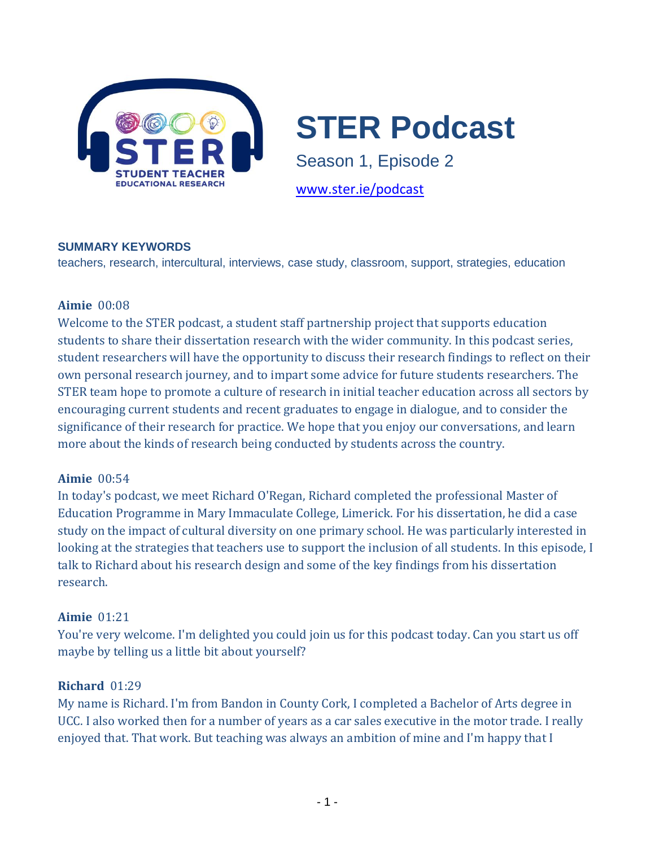

# **STER Podcast**

Season 1, Episode 2

[www.ster.ie/podcast](file://///seefin/users$/abrennan/Desktop/www.ster.ie/podcast)

#### **SUMMARY KEYWORDS**

teachers, research, intercultural, interviews, case study, classroom, support, strategies, education

#### **Aimie** 00:08

Welcome to the STER podcast, a student staff partnership project that supports education students to share their dissertation research with the wider community. In this podcast series, student researchers will have the opportunity to discuss their research findings to reflect on their own personal research journey, and to impart some advice for future students researchers. The STER team hope to promote a culture of research in initial teacher education across all sectors by encouraging current students and recent graduates to engage in dialogue, and to consider the significance of their research for practice. We hope that you enjoy our conversations, and learn more about the kinds of research being conducted by students across the country.

#### **Aimie** 00:54

In today's podcast, we meet Richard O'Regan, Richard completed the professional Master of Education Programme in Mary Immaculate College, Limerick. For his dissertation, he did a case study on the impact of cultural diversity on one primary school. He was particularly interested in looking at the strategies that teachers use to support the inclusion of all students. In this episode, I talk to Richard about his research design and some of the key findings from his dissertation research.

#### **Aimie** 01:21

You're very welcome. I'm delighted you could join us for this podcast today. Can you start us off maybe by telling us a little bit about yourself?

#### **Richard** 01:29

My name is Richard. I'm from Bandon in County Cork, I completed a Bachelor of Arts degree in UCC. I also worked then for a number of years as a car sales executive in the motor trade. I really enjoyed that. That work. But teaching was always an ambition of mine and I'm happy that I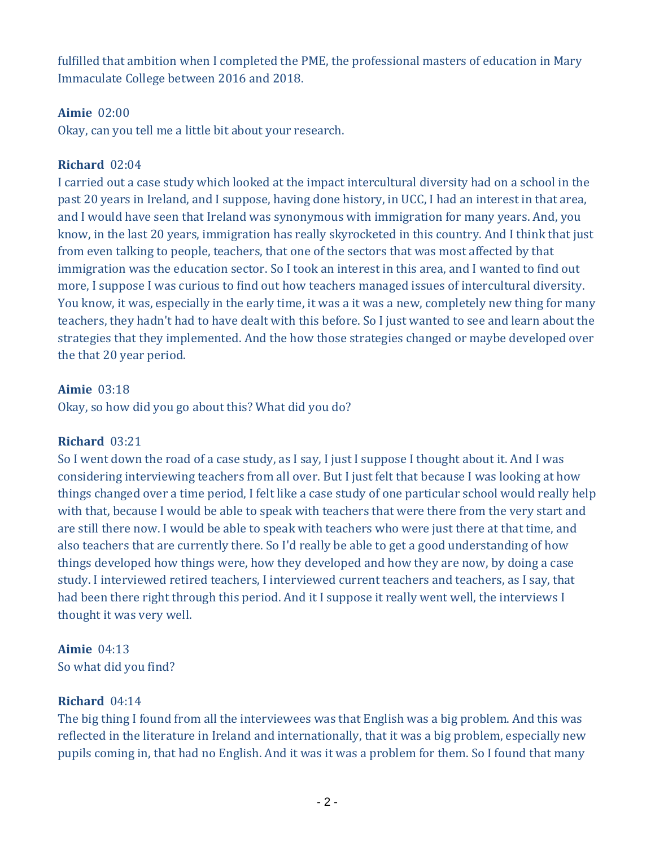fulfilled that ambition when I completed the PME, the professional masters of education in Mary Immaculate College between 2016 and 2018.

#### **Aimie** 02:00

Okay, can you tell me a little bit about your research.

#### **Richard** 02:04

I carried out a case study which looked at the impact intercultural diversity had on a school in the past 20 years in Ireland, and I suppose, having done history, in UCC, I had an interest in that area, and I would have seen that Ireland was synonymous with immigration for many years. And, you know, in the last 20 years, immigration has really skyrocketed in this country. And I think that just from even talking to people, teachers, that one of the sectors that was most affected by that immigration was the education sector. So I took an interest in this area, and I wanted to find out more, I suppose I was curious to find out how teachers managed issues of intercultural diversity. You know, it was, especially in the early time, it was a it was a new, completely new thing for many teachers, they hadn't had to have dealt with this before. So I just wanted to see and learn about the strategies that they implemented. And the how those strategies changed or maybe developed over the that 20 year period.

#### **Aimie** 03:18

Okay, so how did you go about this? What did you do?

#### **Richard** 03:21

So I went down the road of a case study, as I say, I just I suppose I thought about it. And I was considering interviewing teachers from all over. But I just felt that because I was looking at how things changed over a time period, I felt like a case study of one particular school would really help with that, because I would be able to speak with teachers that were there from the very start and are still there now. I would be able to speak with teachers who were just there at that time, and also teachers that are currently there. So I'd really be able to get a good understanding of how things developed how things were, how they developed and how they are now, by doing a case study. I interviewed retired teachers, I interviewed current teachers and teachers, as I say, that had been there right through this period. And it I suppose it really went well, the interviews I thought it was very well.

## **Aimie** 04:13

So what did you find?

#### **Richard** 04:14

The big thing I found from all the interviewees was that English was a big problem. And this was reflected in the literature in Ireland and internationally, that it was a big problem, especially new pupils coming in, that had no English. And it was it was a problem for them. So I found that many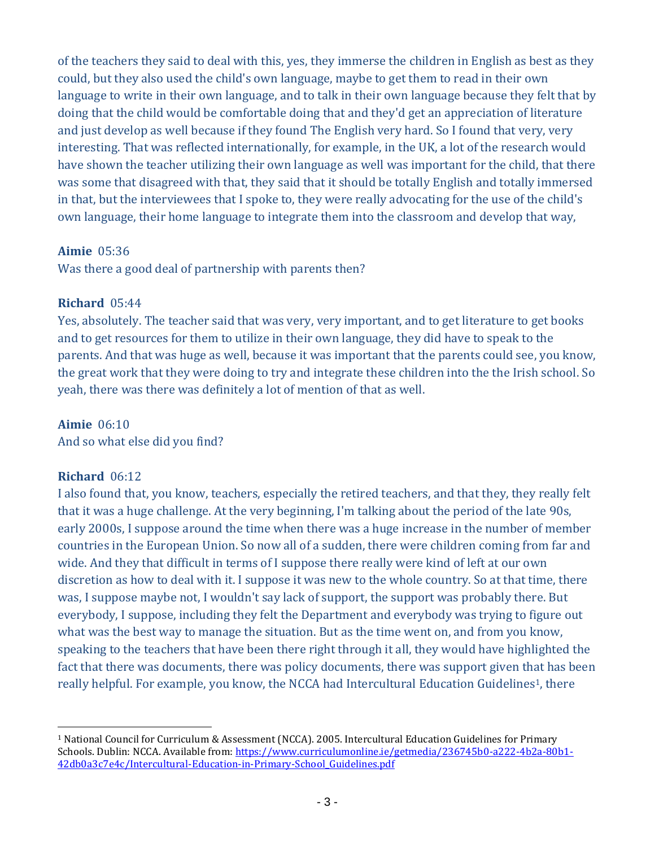of the teachers they said to deal with this, yes, they immerse the children in English as best as they could, but they also used the child's own language, maybe to get them to read in their own language to write in their own language, and to talk in their own language because they felt that by doing that the child would be comfortable doing that and they'd get an appreciation of literature and just develop as well because if they found The English very hard. So I found that very, very interesting. That was reflected internationally, for example, in the UK, a lot of the research would have shown the teacher utilizing their own language as well was important for the child, that there was some that disagreed with that, they said that it should be totally English and totally immersed in that, but the interviewees that I spoke to, they were really advocating for the use of the child's own language, their home language to integrate them into the classroom and develop that way,

#### **Aimie** 05:36

Was there a good deal of partnership with parents then?

#### **Richard** 05:44

Yes, absolutely. The teacher said that was very, very important, and to get literature to get books and to get resources for them to utilize in their own language, they did have to speak to the parents. And that was huge as well, because it was important that the parents could see, you know, the great work that they were doing to try and integrate these children into the the Irish school. So yeah, there was there was definitely a lot of mention of that as well.

#### **Aimie** 06:10

And so what else did you find?

#### **Richard** 06:12

l

I also found that, you know, teachers, especially the retired teachers, and that they, they really felt that it was a huge challenge. At the very beginning, I'm talking about the period of the late 90s, early 2000s, I suppose around the time when there was a huge increase in the number of member countries in the European Union. So now all of a sudden, there were children coming from far and wide. And they that difficult in terms of I suppose there really were kind of left at our own discretion as how to deal with it. I suppose it was new to the whole country. So at that time, there was, I suppose maybe not, I wouldn't say lack of support, the support was probably there. But everybody, I suppose, including they felt the Department and everybody was trying to figure out what was the best way to manage the situation. But as the time went on, and from you know, speaking to the teachers that have been there right through it all, they would have highlighted the fact that there was documents, there was policy documents, there was support given that has been really helpful. For example, you know, the NCCA had Intercultural Education Guidelines<sup>1</sup>, there

<sup>1</sup> National Council for Curriculum & Assessment (NCCA). 2005. Intercultural Education Guidelines for Primary Schools. Dublin: NCCA. Available from: [https://www.curriculumonline.ie/getmedia/236745b0-a222-4b2a-80b1-](https://www.curriculumonline.ie/getmedia/236745b0-a222-4b2a-80b1-42db0a3c7e4c/Intercultural-Education-in-Primary-School_Guidelines.pdf) [42db0a3c7e4c/Intercultural-Education-in-Primary-School\\_Guidelines.pdf](https://www.curriculumonline.ie/getmedia/236745b0-a222-4b2a-80b1-42db0a3c7e4c/Intercultural-Education-in-Primary-School_Guidelines.pdf)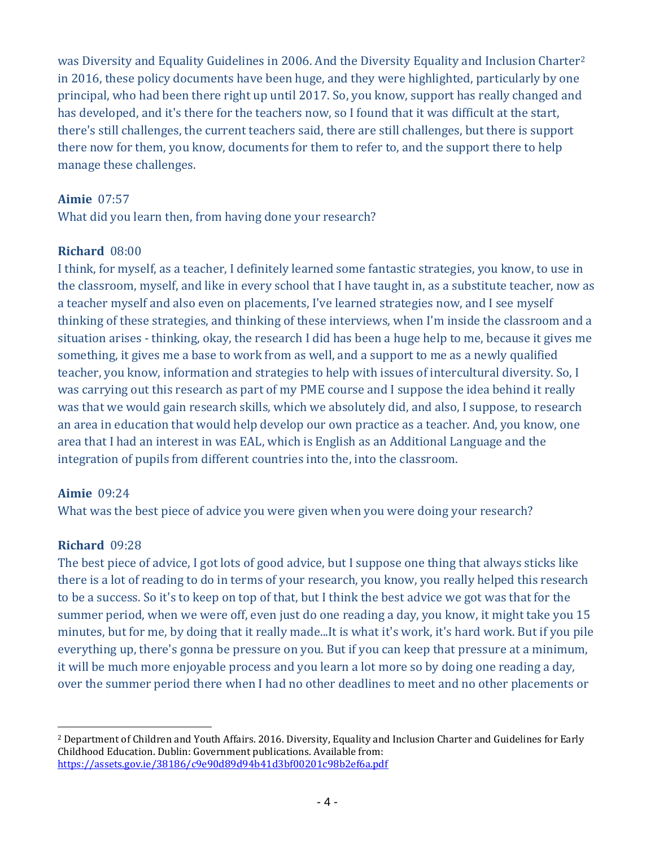was Diversity and Equality Guidelines in 2006. And the Diversity Equality and Inclusion Charter<sup>2</sup> in 2016, these policy documents have been huge, and they were highlighted, particularly by one principal, who had been there right up until 2017. So, you know, support has really changed and has developed, and it's there for the teachers now, so I found that it was difficult at the start, there's still challenges, the current teachers said, there are still challenges, but there is support there now for them, you know, documents for them to refer to, and the support there to help manage these challenges.

#### **Aimie** 07:57

What did you learn then, from having done your research?

#### **Richard** 08:00

I think, for myself, as a teacher, I definitely learned some fantastic strategies, you know, to use in the classroom, myself, and like in every school that I have taught in, as a substitute teacher, now as a teacher myself and also even on placements, I've learned strategies now, and I see myself thinking of these strategies, and thinking of these interviews, when I'm inside the classroom and a situation arises - thinking, okay, the research I did has been a huge help to me, because it gives me something, it gives me a base to work from as well, and a support to me as a newly qualified teacher, you know, information and strategies to help with issues of intercultural diversity. So, I was carrying out this research as part of my PME course and I suppose the idea behind it really was that we would gain research skills, which we absolutely did, and also, I suppose, to research an area in education that would help develop our own practice as a teacher. And, you know, one area that I had an interest in was EAL, which is English as an Additional Language and the integration of pupils from different countries into the, into the classroom.

#### **Aimie** 09:24

What was the best piece of advice you were given when you were doing your research?

#### **Richard** 09:28

The best piece of advice, I got lots of good advice, but I suppose one thing that always sticks like there is a lot of reading to do in terms of your research, you know, you really helped this research to be a success. So it's to keep on top of that, but I think the best advice we got was that for the summer period, when we were off, even just do one reading a day, you know, it might take you 15 minutes, but for me, by doing that it really made...It is what it's work, it's hard work. But if you pile everything up, there's gonna be pressure on you. But if you can keep that pressure at a minimum, it will be much more enjoyable process and you learn a lot more so by doing one reading a day, over the summer period there when I had no other deadlines to meet and no other placements or

l <sup>2</sup> Department of Children and Youth Affairs. 2016. Diversity, Equality and Inclusion Charter and Guidelines for Early Childhood Education. Dublin: Government publications. Available from: <https://assets.gov.ie/38186/c9e90d89d94b41d3bf00201c98b2ef6a.pdf>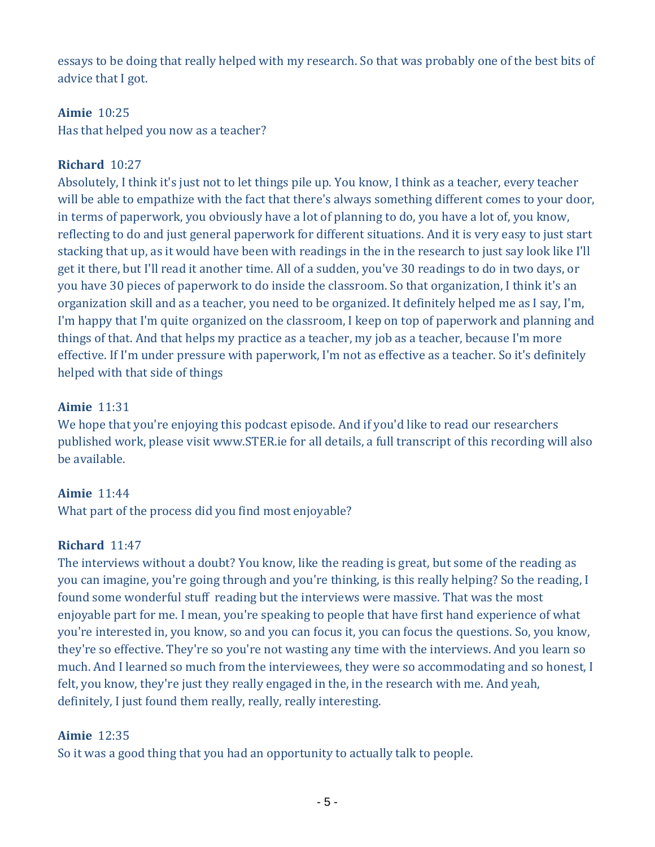essays to be doing that really helped with my research. So that was probably one of the best bits of advice that I got.

#### **Aimie** 10:25

Has that helped you now as a teacher?

#### **Richard** 10:27

Absolutely, I think it's just not to let things pile up. You know, I think as a teacher, every teacher will be able to empathize with the fact that there's always something different comes to your door, in terms of paperwork, you obviously have a lot of planning to do, you have a lot of, you know, reflecting to do and just general paperwork for different situations. And it is very easy to just start stacking that up, as it would have been with readings in the in the research to just say look like I'll get it there, but I'll read it another time. All of a sudden, you've 30 readings to do in two days, or you have 30 pieces of paperwork to do inside the classroom. So that organization, I think it's an organization skill and as a teacher, you need to be organized. It definitely helped me as I say, I'm, I'm happy that I'm quite organized on the classroom, I keep on top of paperwork and planning and things of that. And that helps my practice as a teacher, my job as a teacher, because I'm more effective. If I'm under pressure with paperwork, I'm not as effective as a teacher. So it's definitely helped with that side of things

#### **Aimie** 11:31

We hope that you're enjoying this podcast episode. And if you'd like to read our researchers published work, please visit www.STER.ie for all details, a full transcript of this recording will also be available.

#### **Aimie** 11:44

What part of the process did you find most enjoyable?

#### **Richard** 11:47

The interviews without a doubt? You know, like the reading is great, but some of the reading as you can imagine, you're going through and you're thinking, is this really helping? So the reading, I found some wonderful stuff reading but the interviews were massive. That was the most enjoyable part for me. I mean, you're speaking to people that have first hand experience of what you're interested in, you know, so and you can focus it, you can focus the questions. So, you know, they're so effective. They're so you're not wasting any time with the interviews. And you learn so much. And I learned so much from the interviewees, they were so accommodating and so honest, I felt, you know, they're just they really engaged in the, in the research with me. And yeah, definitely, I just found them really, really, really interesting.

#### **Aimie** 12:35

So it was a good thing that you had an opportunity to actually talk to people.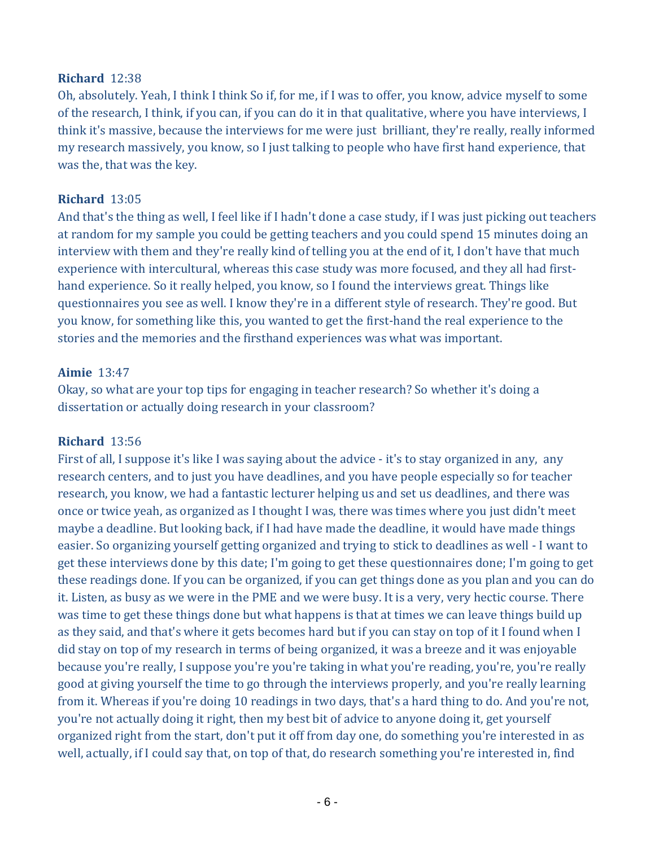#### **Richard** 12:38

Oh, absolutely. Yeah, I think I think So if, for me, if I was to offer, you know, advice myself to some of the research, I think, if you can, if you can do it in that qualitative, where you have interviews, I think it's massive, because the interviews for me were just brilliant, they're really, really informed my research massively, you know, so I just talking to people who have first hand experience, that was the, that was the key.

#### **Richard** 13:05

And that's the thing as well, I feel like if I hadn't done a case study, if I was just picking out teachers at random for my sample you could be getting teachers and you could spend 15 minutes doing an interview with them and they're really kind of telling you at the end of it, I don't have that much experience with intercultural, whereas this case study was more focused, and they all had firsthand experience. So it really helped, you know, so I found the interviews great. Things like questionnaires you see as well. I know they're in a different style of research. They're good. But you know, for something like this, you wanted to get the first-hand the real experience to the stories and the memories and the firsthand experiences was what was important.

#### **Aimie** 13:47

Okay, so what are your top tips for engaging in teacher research? So whether it's doing a dissertation or actually doing research in your classroom?

#### **Richard** 13:56

First of all, I suppose it's like I was saying about the advice - it's to stay organized in any, any research centers, and to just you have deadlines, and you have people especially so for teacher research, you know, we had a fantastic lecturer helping us and set us deadlines, and there was once or twice yeah, as organized as I thought I was, there was times where you just didn't meet maybe a deadline. But looking back, if I had have made the deadline, it would have made things easier. So organizing yourself getting organized and trying to stick to deadlines as well - I want to get these interviews done by this date; I'm going to get these questionnaires done; I'm going to get these readings done. If you can be organized, if you can get things done as you plan and you can do it. Listen, as busy as we were in the PME and we were busy. It is a very, very hectic course. There was time to get these things done but what happens is that at times we can leave things build up as they said, and that's where it gets becomes hard but if you can stay on top of it I found when I did stay on top of my research in terms of being organized, it was a breeze and it was enjoyable because you're really, I suppose you're you're taking in what you're reading, you're, you're really good at giving yourself the time to go through the interviews properly, and you're really learning from it. Whereas if you're doing 10 readings in two days, that's a hard thing to do. And you're not, you're not actually doing it right, then my best bit of advice to anyone doing it, get yourself organized right from the start, don't put it off from day one, do something you're interested in as well, actually, if I could say that, on top of that, do research something you're interested in, find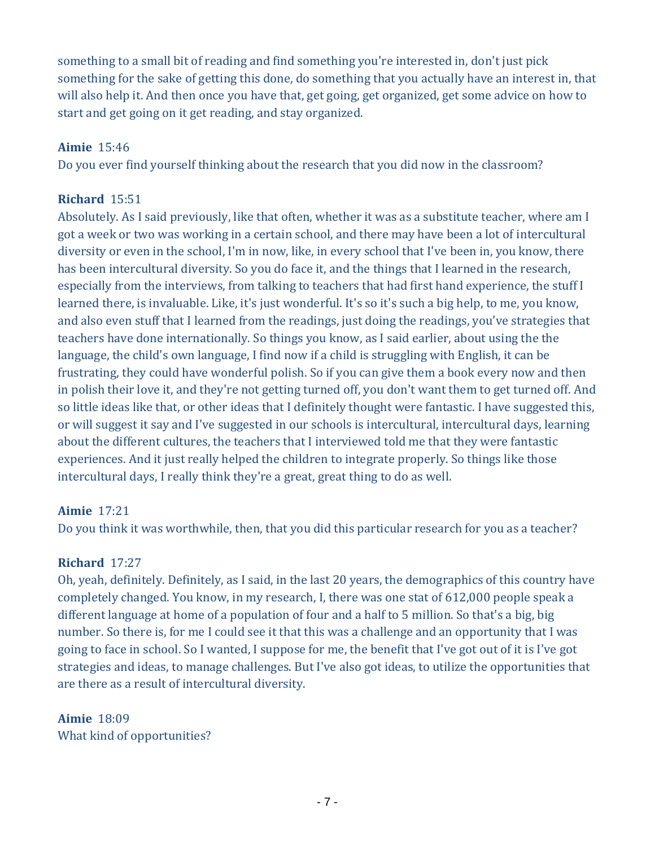something to a small bit of reading and find something you're interested in, don't just pick something for the sake of getting this done, do something that you actually have an interest in, that will also help it. And then once you have that, get going, get organized, get some advice on how to start and get going on it get reading, and stay organized.

#### **Aimie** 15:46

Do you ever find yourself thinking about the research that you did now in the classroom?

## **Richard** 15:51

Absolutely. As I said previously, like that often, whether it was as a substitute teacher, where am I got a week or two was working in a certain school, and there may have been a lot of intercultural diversity or even in the school, I'm in now, like, in every school that I've been in, you know, there has been intercultural diversity. So you do face it, and the things that I learned in the research, especially from the interviews, from talking to teachers that had first hand experience, the stuff I learned there, is invaluable. Like, it's just wonderful. It's so it's such a big help, to me, you know, and also even stuff that I learned from the readings, just doing the readings, you've strategies that teachers have done internationally. So things you know, as I said earlier, about using the the language, the child's own language, I find now if a child is struggling with English, it can be frustrating, they could have wonderful polish. So if you can give them a book every now and then in polish their love it, and they're not getting turned off, you don't want them to get turned off. And so little ideas like that, or other ideas that I definitely thought were fantastic. I have suggested this, or will suggest it say and I've suggested in our schools is intercultural, intercultural days, learning about the different cultures, the teachers that I interviewed told me that they were fantastic experiences. And it just really helped the children to integrate properly. So things like those intercultural days, I really think they're a great, great thing to do as well.

## **Aimie** 17:21

Do you think it was worthwhile, then, that you did this particular research for you as a teacher?

## **Richard** 17:27

Oh, yeah, definitely. Definitely, as I said, in the last 20 years, the demographics of this country have completely changed. You know, in my research, I, there was one stat of 612,000 people speak a different language at home of a population of four and a half to 5 million. So that's a big, big number. So there is, for me I could see it that this was a challenge and an opportunity that I was going to face in school. So I wanted, I suppose for me, the benefit that I've got out of it is I've got strategies and ideas, to manage challenges. But I've also got ideas, to utilize the opportunities that are there as a result of intercultural diversity.

## **Aimie** 18:09 What kind of opportunities?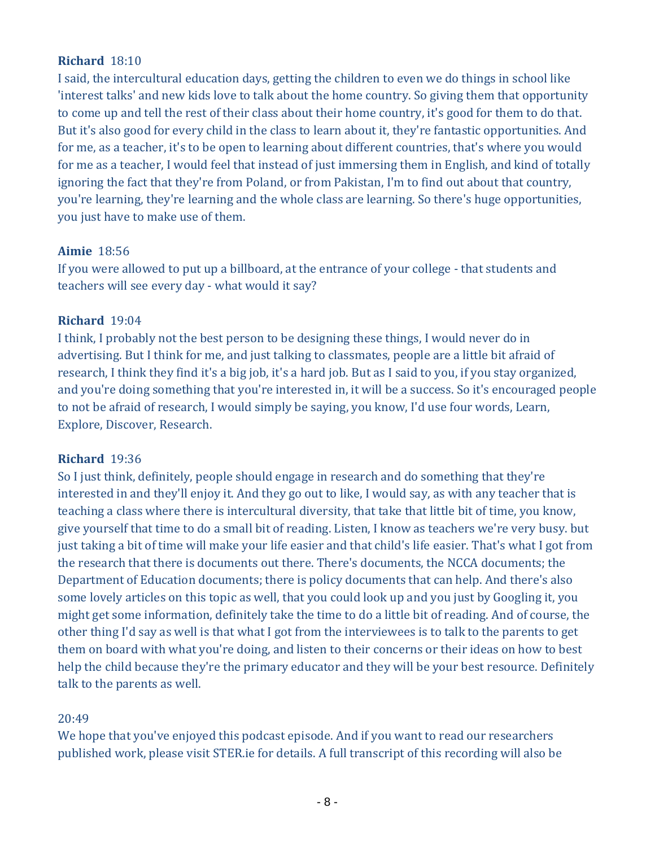#### **Richard** 18:10

I said, the intercultural education days, getting the children to even we do things in school like 'interest talks' and new kids love to talk about the home country. So giving them that opportunity to come up and tell the rest of their class about their home country, it's good for them to do that. But it's also good for every child in the class to learn about it, they're fantastic opportunities. And for me, as a teacher, it's to be open to learning about different countries, that's where you would for me as a teacher, I would feel that instead of just immersing them in English, and kind of totally ignoring the fact that they're from Poland, or from Pakistan, I'm to find out about that country, you're learning, they're learning and the whole class are learning. So there's huge opportunities, you just have to make use of them.

#### **Aimie** 18:56

If you were allowed to put up a billboard, at the entrance of your college - that students and teachers will see every day - what would it say?

#### **Richard** 19:04

I think, I probably not the best person to be designing these things, I would never do in advertising. But I think for me, and just talking to classmates, people are a little bit afraid of research, I think they find it's a big job, it's a hard job. But as I said to you, if you stay organized, and you're doing something that you're interested in, it will be a success. So it's encouraged people to not be afraid of research, I would simply be saying, you know, I'd use four words, Learn, Explore, Discover, Research.

#### **Richard** 19:36

So I just think, definitely, people should engage in research and do something that they're interested in and they'll enjoy it. And they go out to like, I would say, as with any teacher that is teaching a class where there is intercultural diversity, that take that little bit of time, you know, give yourself that time to do a small bit of reading. Listen, I know as teachers we're very busy. but just taking a bit of time will make your life easier and that child's life easier. That's what I got from the research that there is documents out there. There's documents, the NCCA documents; the Department of Education documents; there is policy documents that can help. And there's also some lovely articles on this topic as well, that you could look up and you just by Googling it, you might get some information, definitely take the time to do a little bit of reading. And of course, the other thing I'd say as well is that what I got from the interviewees is to talk to the parents to get them on board with what you're doing, and listen to their concerns or their ideas on how to best help the child because they're the primary educator and they will be your best resource. Definitely talk to the parents as well.

#### 20:49

We hope that you've enjoyed this podcast episode. And if you want to read our researchers published work, please visit STER.ie for details. A full transcript of this recording will also be